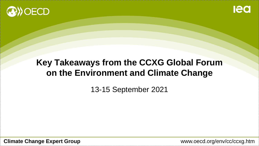



### **Key Takeaways from the CCXG Global Forum on the Environment and Climate Change**

13-15 September 2021

**Climate Change Expert Group www.oecd.org/env/cc/ccxg.htm**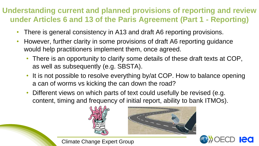#### **Understanding current and planned provisions of reporting and review under Articles 6 and 13 of the Paris Agreement (Part 1 - Reporting)**

- There is general consistency in A13 and draft A6 reporting provisions.
- However, further clarity in some provisions of draft A6 reporting guidance would help practitioners implement them, once agreed.
	- There is an opportunity to clarify some details of these draft texts at COP, as well as subsequently (e.g. SBSTA).
	- It is not possible to resolve everything by/at COP. How to balance opening a can of worms vs kicking the can down the road?
	- Different views on which parts of text could usefully be revised (e.g. content, timing and frequency of initial report, ability to bank ITMOs).







**<sup>2</sup>** Climate Change Expert Group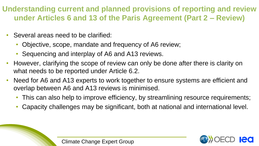#### **Understanding current and planned provisions of reporting and review under Articles 6 and 13 of the Paris Agreement (Part 2 – Review)**

- Several areas need to be clarified:
	- Objective, scope, mandate and frequency of A6 review;
	- Sequencing and interplay of A6 and A13 reviews.
- However, clarifying the scope of review can only be done after there is clarity on what needs to be reported under Article 6.2.
- Need for A6 and A13 experts to work together to ensure systems are efficient and overlap between A6 and A13 reviews is minimised.
	- This can also help to improve efficiency, by streamlining resource requirements;
	- Capacity challenges may be significant, both at national and international level.

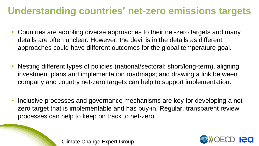# **Understanding countries' net-zero emissions targets**

- Countries are adopting diverse approaches to their net-zero targets and many details are often unclear. However, the devil is in the details as different approaches could have different outcomes for the global temperature goal.
- Nesting different types of policies (national/sectoral; short/long-term), aligning investment plans and implementation roadmaps; and drawing a link between company and country net-zero targets can help to support implementation.
- Inclusive processes and governance mechanisms are key for developing a netzero target that is implementable and has buy-in. Regular, transparent review processes can help to keep on track to net-zero.

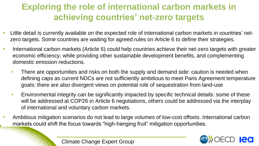### **Exploring the role of international carbon markets in achieving countries' net-zero targets**

- Little detail is currently available on the expected role of international carbon markets in countries' netzero targets. Some countries are waiting for agreed rules on Article 6 to define their strategies.
- International carbon markets (Article 6) could help countries achieve their net-zero targets with greater economic efficiency, while providing other sustainable development benefits, and complementing domestic emission reductions.
	- There are opportunities and risks on both the supply and demand side: caution is needed when defining caps as current NDCs are not sufficiently ambitious to meet Paris Agreement temperature goals; there are also divergent views on potential role of sequestration from land-use
	- Environmental integrity can be significantly impacted by specific technical details: some of these will be addressed at COP26 in Article 6 negotiations, others could be addressed via the interplay of international and voluntary carbon markets.
- Ambitious mitigation scenarios do not lead to large volumes of low-cost offsets. International carbon markets could shift the focus towards "high-hanging fruit" mitigation opportunities.



**<sup>5</sup>** Climate Change Expert Group